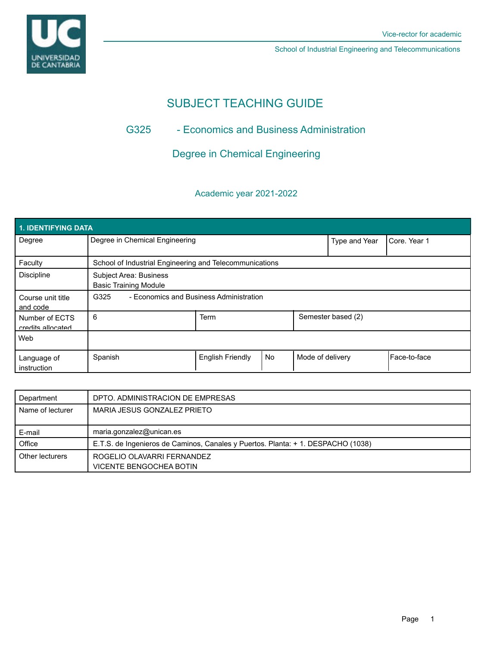

School of Industrial Engineering and Telecommunications

# SUBJECT TEACHING GUIDE

# G325 - Economics and Business Administration

Degree in Chemical Engineering

# Academic year 2021-2022

| 1. IDENTIFYING DATA                 |                                                         |                         |           |                  |                    |               |  |  |  |
|-------------------------------------|---------------------------------------------------------|-------------------------|-----------|------------------|--------------------|---------------|--|--|--|
| Degree                              | Degree in Chemical Engineering                          |                         |           | Type and Year    | Core, Year 1       |               |  |  |  |
| Faculty                             | School of Industrial Engineering and Telecommunications |                         |           |                  |                    |               |  |  |  |
| <b>Discipline</b>                   | Subject Area: Business<br><b>Basic Training Module</b>  |                         |           |                  |                    |               |  |  |  |
| Course unit title<br>and code       | - Economics and Business Administration<br>G325         |                         |           |                  |                    |               |  |  |  |
| Number of ECTS<br>credits allocated | 6                                                       | <b>Term</b>             |           |                  | Semester based (2) |               |  |  |  |
| Web                                 |                                                         |                         |           |                  |                    |               |  |  |  |
| Language of<br>instruction          | Spanish                                                 | <b>English Friendly</b> | <b>No</b> | Mode of delivery |                    | lFace-to-face |  |  |  |

| Department       | DPTO, ADMINISTRACION DE EMPRESAS                                                 |
|------------------|----------------------------------------------------------------------------------|
| Name of lecturer | MARIA JESUS GONZALEZ PRIETO                                                      |
|                  |                                                                                  |
| E-mail           | maria.gonzalez@unican.es                                                         |
| Office           | E.T.S. de Ingenieros de Caminos, Canales y Puertos. Planta: + 1. DESPACHO (1038) |
| Other lecturers  | ROGELIO OLAVARRI FERNANDEZ                                                       |
|                  | VICENTE BENGOCHEA BOTIN                                                          |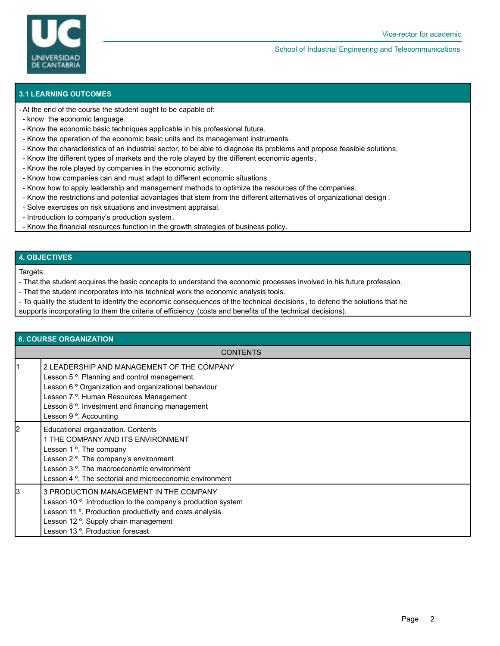

#### School of Industrial Engineering and Telecommunications

## **3.1 LEARNING OUTCOMES**

At the end of the course the student ought to be capable of: -

- know the economic language.
- Know the economic basic techniques applicable in his professional future.
- Know the operation of the economic basic units and its management instruments.
- Know the characteristics of an industrial sector, to be able to diagnose its problems and propose feasible solutions.
- Know the different types of markets and the role played by the different economic agents .
- Know the role played by companies in the economic activity.
- Know how companies can and must adapt to different economic situations .
- Know how to apply leadership and management methods to optimize the resources of the companies.
- Know the restrictions and potential advantages that stem from the different alternatives of organizational design .
- Solve exercises on risk situations and investment appraisal.
- Introduction to company's production system.
- Know the financial resources function in the growth strategies of business policy.

### **4. OBJECTIVES**

Targets:

- That the student acquires the basic concepts to understand the economic processes involved in his future profession.
- That the student incorporates into his technical work the economic analysis tools.
- To qualify the student to identify the economic consequences of the technical decisions , to defend the solutions that he
- supports incorporating to them the criteria of efficiency (costs and benefits of the technical decisions).

| <b>6. COURSE ORGANIZATION</b> |                                                                                                                                                                                                                                                                                                               |  |  |  |  |
|-------------------------------|---------------------------------------------------------------------------------------------------------------------------------------------------------------------------------------------------------------------------------------------------------------------------------------------------------------|--|--|--|--|
| <b>CONTENTS</b>               |                                                                                                                                                                                                                                                                                                               |  |  |  |  |
|                               | 2 LEADERSHIP AND MANAGEMENT OF THE COMPANY<br>Lesson 5 <sup>o</sup> . Planning and control management.<br>Lesson 6 ° Organization and organizational behaviour<br>Lesson 7 <sup>o</sup> . Human Resources Management<br>Lesson 8 <sup>o</sup> . Investment and financing management<br>Lesson 9 °. Accounting |  |  |  |  |
| 2                             | Educational organization. Contents<br>1 THE COMPANY AND ITS ENVIRONMENT<br>Lesson 1 °. The company<br>Lesson 2 <sup>o</sup> . The company's environment<br>Lesson 3 °. The macroeconomic environment<br>Lesson 4 °. The sectorial and microeconomic environment                                               |  |  |  |  |
| l3                            | 3 PRODUCTION MANAGEMENT IN THE COMPANY<br>Lesson 10 <sup>o</sup> . Introduction to the company's production system<br>Lesson 11 °. Production productivity and costs analysis<br>Lesson 12 <sup>o</sup> . Supply chain management<br>Lesson 13 °. Production forecast                                         |  |  |  |  |